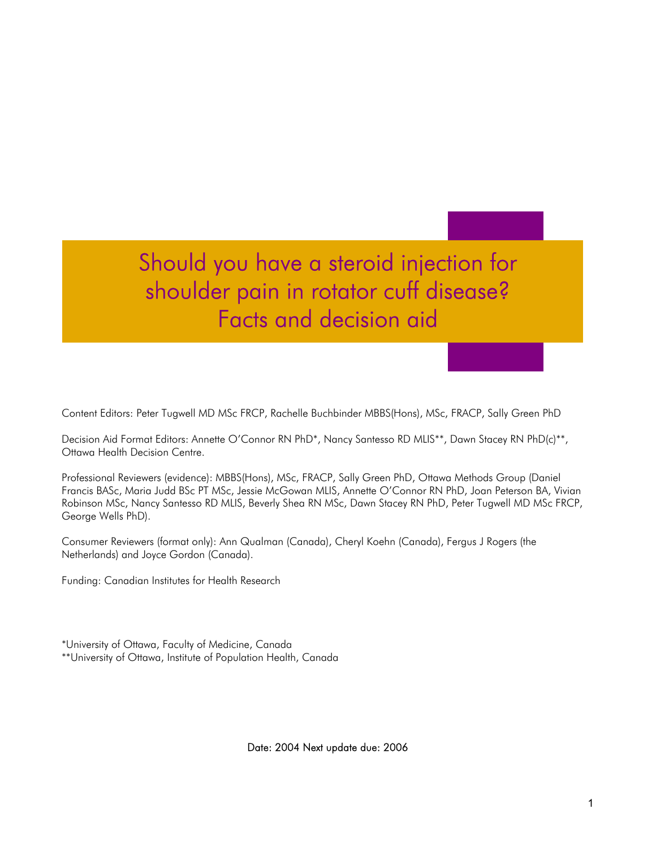Should you have a steroid injection for shoulder pain in rotator cuff disease? Facts and decision aid

Content Editors: Peter Tugwell MD MSc FRCP, Rachelle Buchbinder MBBS(Hons), MSc, FRACP, Sally Green PhD

Decision Aid Format Editors: Annette O'Connor RN PhD\*, Nancy Santesso RD MLIS\*\*, Dawn Stacey RN PhD(c)\*\*, Ottawa Health Decision Centre.

Professional Reviewers (evidence): MBBS(Hons), MSc, FRACP, Sally Green PhD, Ottawa Methods Group (Daniel Francis BASc, Maria Judd BSc PT MSc, Jessie McGowan MLIS, Annette O'Connor RN PhD, Joan Peterson BA, Vivian Robinson MSc, Nancy Santesso RD MLIS, Beverly Shea RN MSc, Dawn Stacey RN PhD, Peter Tugwell MD MSc FRCP, George Wells PhD).

Consumer Reviewers (format only): Ann Qualman (Canada), Cheryl Koehn (Canada), Fergus J Rogers (the Netherlands) and Joyce Gordon (Canada).

Funding: Canadian Institutes for Health Research

\*University of Ottawa, Faculty of Medicine, Canada \*\*University of Ottawa, Institute of Population Health, Canada

Date: 2004 Next update due: 2006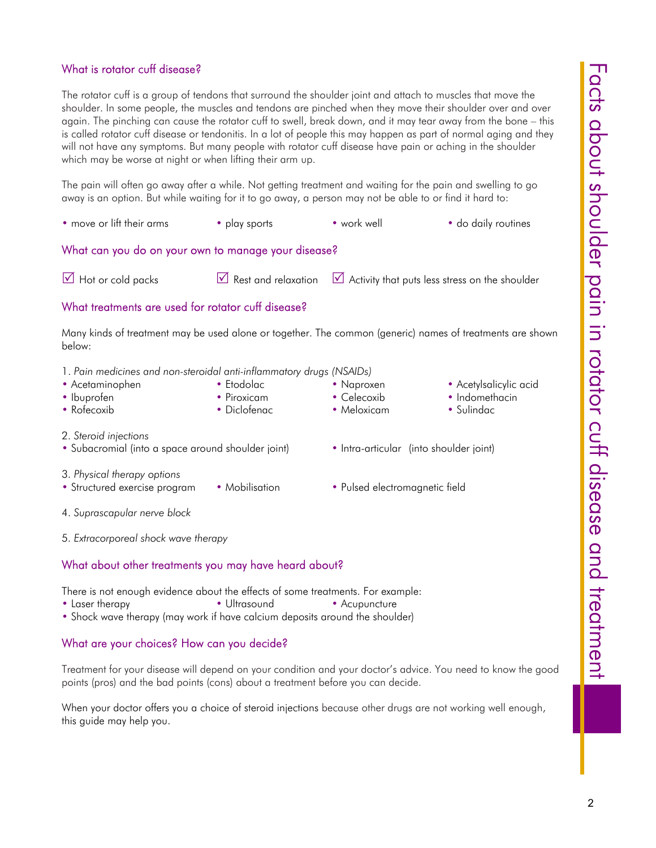# What is rotator cuff disease?

The rotator cuff is a group of tendons that surround the shoulder joint and attach to muscles that move the shoulder. In some people, the muscles and tendons are pinched when they move their shoulder over and over again. The pinching can cause the rotator cuff to swell, break down, and it may tear away from the bone – this is called rotator cuff disease or tendonitis. In a lot of people this may happen as part of normal aging and they will not have any symptoms. But many people with rotator cuff disease have pain or aching in the shoulder which may be worse at night or when lifting their arm up.

The pain will often go away after a while. Not getting treatment and waiting for the pain and swelling to go away is an option. But while waiting for it to go away, a person may not be able to or find it hard to:

| • move or lift their arms | • play sports | • work well | • do daily routines |
|---------------------------|---------------|-------------|---------------------|
|---------------------------|---------------|-------------|---------------------|

# What can you do on your own to manage your disease?

 $\overline{1}$  Hot or cold packs  $\overline{1}$  Rest and relaxation  $\overline{1}$  Activity that puts less stress on the shoulder

# What treatments are used for rotator cuff disease?

Many kinds of treatment may be used alone or together. The common (generic) names of treatments are shown below:

- 1. *Pain medicines and non-steroidal anti-inflammatory drugs (NSAIDs)*
- Acetaminophen Etodolac Paproxen Acetylsalicylic acid
- Ibuprofen Piroxicam Celecoxib Indomethacin
- Rofecoxib Diclofenac Meloxicam Sulindac
- 2. *Steroid injections*
- Subacromial (into a space around shoulder joint) Intra-articular (into shoulder joint)
- 3. *Physical therapy options*
- Structured exercise program Mobilisation Pulsed electromagnetic field
- 
- 4. *Suprascapular nerve block*
- 5. *Extracorporeal shock wave therapy*

# What about other treatments you may have heard about?

There is not enough evidence about the effects of some treatments. For example:

- Laser therapy Ultrasound Acupuncture
- Shock wave therapy (may work if have calcium deposits around the shoulder)

# What are your choices? How can you decide?

Treatment for your disease will depend on your condition and your doctor's advice. You need to know the good points (pros) and the bad points (cons) about a treatment before you can decide.

When your doctor offers you a choice of steroid injections because other drugs are not working well enough, this guide may help you.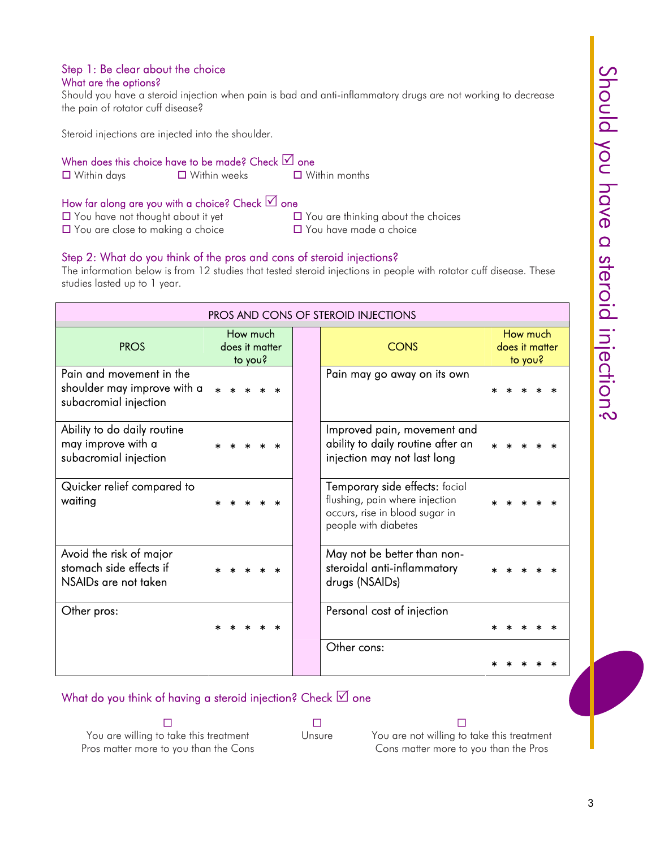### Step 1: Be clear about the choice What are the options?

Should you have a steroid injection when pain is bad and anti-inflammatory drugs are not working to decrease the pain of rotator cuff disease?

Steroid injections are injected into the shoulder.

### When does this choice have to be made? Check  $\vee$  one

Within days Within weeks Within months

# How far along are you with a choice? Check  $\vee$  one

- 
- $\Box$  You have not thought about it yet  $\Box$  You are thinking about the choices
- $\Box$  You are close to making a choice  $\Box$  You have made a choice
- 

# Step 2: What do you think of the pros and cons of steroid injections?

The information below is from 12 studies that tested steroid injections in people with rotator cuff disease. These studies lasted up to 1 year.

| PROS AND CONS OF STEROID INJECTIONS                                              |                                       |  |                                                                                                                            |                                       |  |  |  |  |
|----------------------------------------------------------------------------------|---------------------------------------|--|----------------------------------------------------------------------------------------------------------------------------|---------------------------------------|--|--|--|--|
| <b>PROS</b>                                                                      | How much<br>does it matter<br>to you? |  | <b>CONS</b>                                                                                                                | How much<br>does it matter<br>to you? |  |  |  |  |
| Pain and movement in the<br>shoulder may improve with a<br>subacromial injection |                                       |  | Pain may go away on its own                                                                                                |                                       |  |  |  |  |
| Ability to do daily routine<br>may improve with a<br>subacromial injection       |                                       |  | Improved pain, movement and<br>ability to daily routine after an<br>injection may not last long                            |                                       |  |  |  |  |
| Quicker relief compared to<br>waiting                                            |                                       |  | Temporary side effects: facial<br>flushing, pain where injection<br>occurs, rise in blood sugar in<br>people with diabetes |                                       |  |  |  |  |
| Avoid the risk of major<br>stomach side effects if<br>NSAIDs are not taken       |                                       |  | May not be better than non-<br>steroidal anti-inflammatory<br>drugs (NSAIDs)                                               |                                       |  |  |  |  |
| Other pros:                                                                      |                                       |  | Personal cost of injection                                                                                                 |                                       |  |  |  |  |
|                                                                                  |                                       |  | Other cons:                                                                                                                |                                       |  |  |  |  |

# What do you think of having a steroid injection? Check  $\boxtimes$  one

You are willing to take this treatment Pros matter more to you than the Cons

 $\Box$  and  $\Box$  and  $\Box$  and  $\Box$  and  $\Box$  and  $\Box$  and  $\Box$ 

Unsure You are not willing to take this treatment Cons matter more to you than the Pros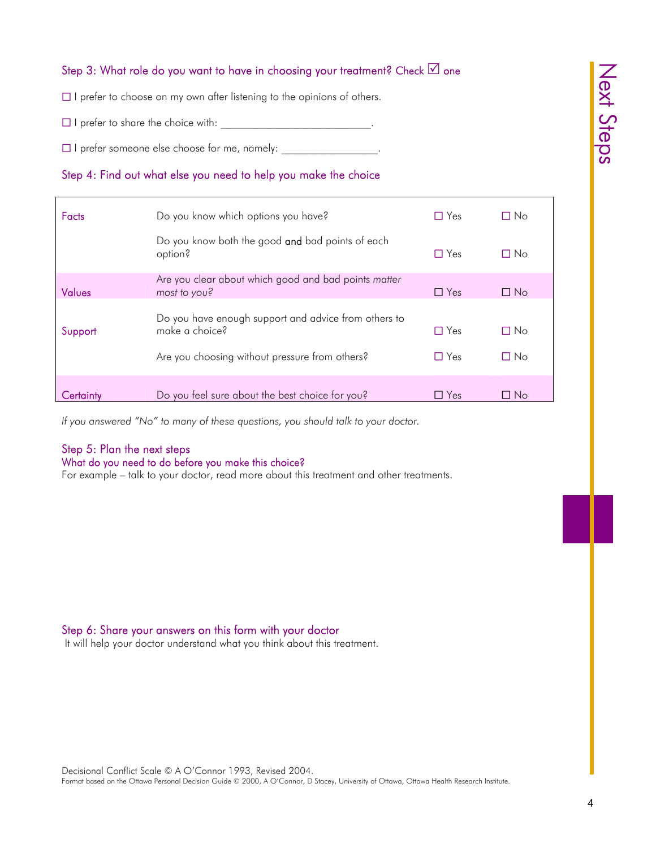# Step 3: What role do you want to have in choosing your treatment? Check  $\boxdot$  one

 $\Box$  I prefer to choose on my own after listening to the opinions of others.

 $\Box$  I prefer to share the choice with:  $\Box$ 

 $\Box$  I prefer someone else choose for me, namely:

# Step 4: Find out what else you need to help you make the choice

| <b>Facts</b>  | Do you know which options you have?                                                                                      | $\Box$ Yes               | □ No         |  |
|---------------|--------------------------------------------------------------------------------------------------------------------------|--------------------------|--------------|--|
|               | Do you know both the good and bad points of each<br>option?                                                              | $\Box$ Yes               | П No         |  |
|               | Are you clear about which good and bad points matter                                                                     |                          |              |  |
| <b>Values</b> | most to you?                                                                                                             | $\Box$ Yes               | $\Box$ No    |  |
| Support       | Do you have enough support and advice from others to<br>make a choice?<br>Are you choosing without pressure from others? | $\Box$ Yes<br>$\Box$ Yes | П No<br>□ No |  |
| Certaintv     | Do you feel sure about the best choice for you?                                                                          | Yes<br>$\mathsf{L}$      | ∐ No         |  |

*If you answered "No" to many of these questions, you should talk to your doctor.*

# Step 5: Plan the next steps

#### What do you need to do before you make this choice?

For example – talk to your doctor, read more about this treatment and other treatments.

# Step 6: Share your answers on this form with your doctor

It will help your doctor understand what you think about this treatment.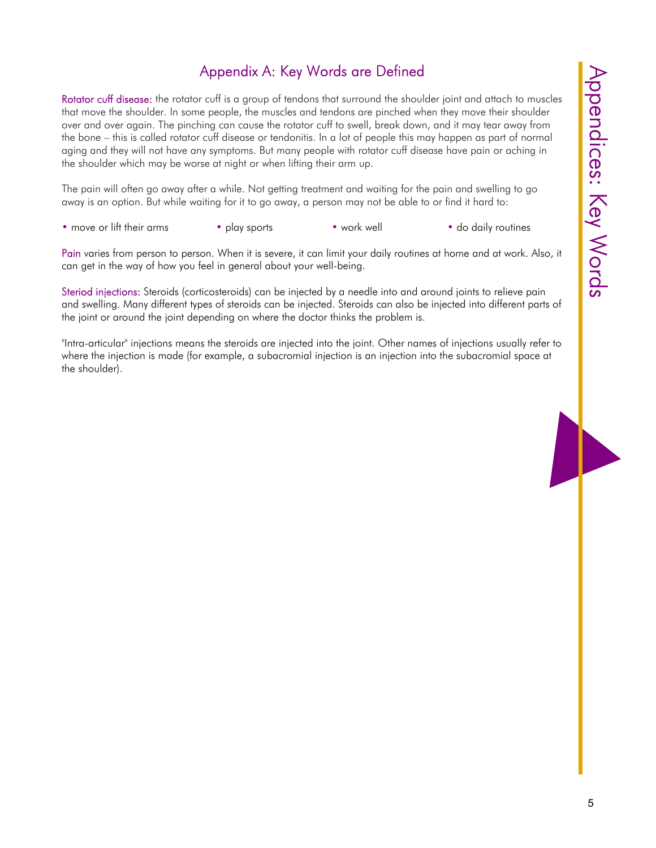# Appendix A: Key Words are Defined

Rotator cuff disease: the rotator cuff is a group of tendons that surround the shoulder joint and attach to muscles that move the shoulder. In some people, the muscles and tendons are pinched when they move their shoulder over and over again. The pinching can cause the rotator cuff to swell, break down, and it may tear away from the bone – this is called rotator cuff disease or tendonitis. In a lot of people this may happen as part of normal aging and they will not have any symptoms. But many people with rotator cuff disease have pain or aching in the shoulder which may be worse at night or when lifting their arm up.

The pain will often go away after a while. Not getting treatment and waiting for the pain and swelling to go away is an option. But while waiting for it to go away, a person may not be able to or find it hard to:

• move or lift their arms • play sports • work well • do daily routines

Pain varies from person to person. When it is severe, it can limit your daily routines at home and at work. Also, it can get in the way of how you feel in general about your well-being.

Steriod injections: Steroids (corticosteroids) can be injected by a needle into and around joints to relieve pain and swelling. Many different types of steroids can be injected. Steroids can also be injected into different parts of the joint or around the joint depending on where the doctor thinks the problem is.

"Intra-articular" injections means the steroids are injected into the joint. Other names of injections usually refer to where the injection is made (for example, a subacromial injection is an injection into the subacromial space at the shoulder).